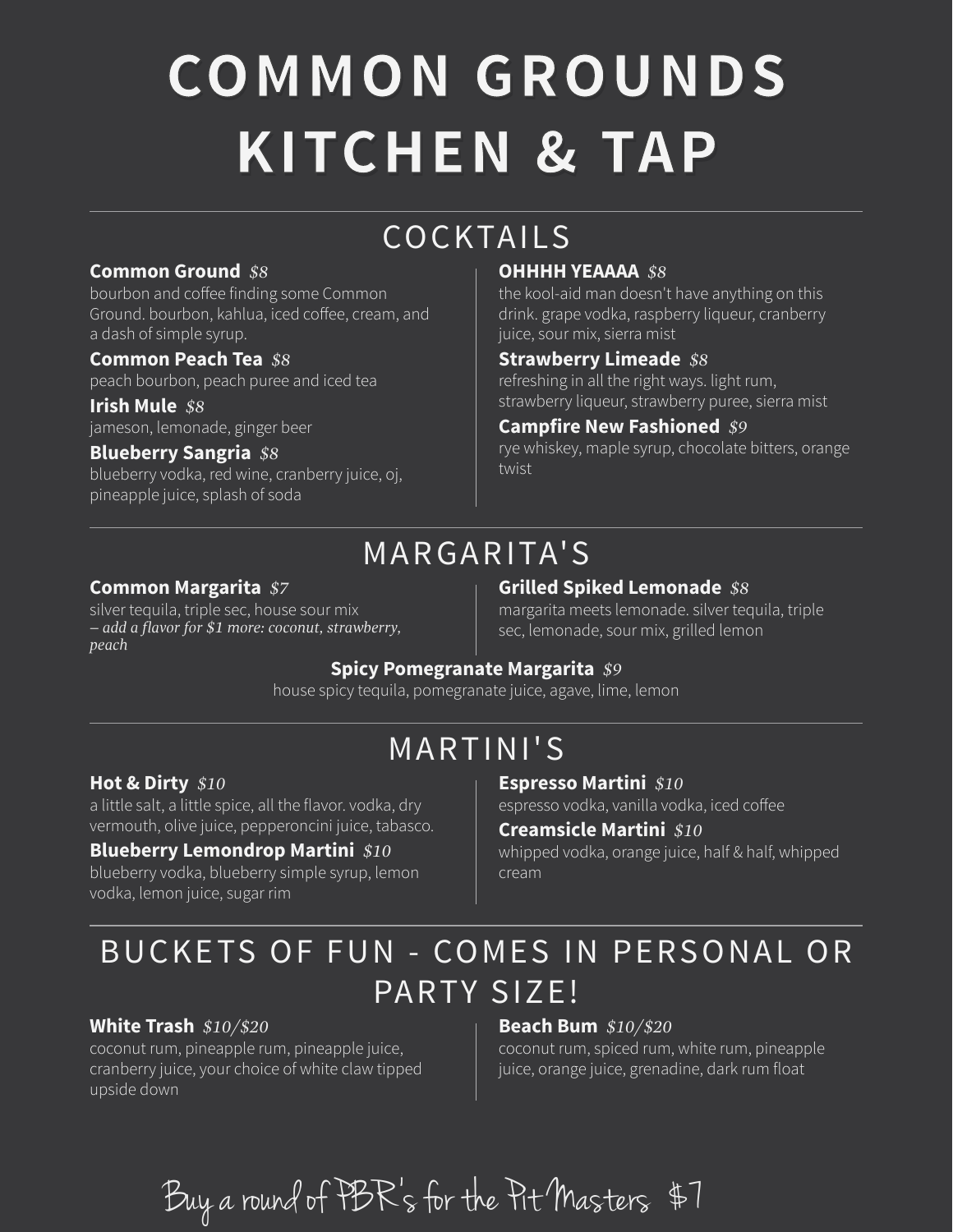# **COMMON GROUNDS KITCHEN & TAP**

## COCKTAILS

#### **Common Ground** *\$8*

bourbon and coffee finding some Common Ground. bourbon, kahlua, iced coffee, cream, and a dash of simple syrup.

#### **Common Peach Tea** *\$8*

peach bourbon, peach puree and iced tea

#### **Blueberry Sangria** *\$8*

blueberry vodka, red wine, cranberry juice, oj, pineapple juice, splash of soda

#### **OHHHH YEAAAA** *\$8*

the kool-aid man doesn't have anything on this drink. grape vodka, raspberry liqueur, cranberry juice, sour mix, sierra mist

#### **Strawberry Limeade** *\$8*

refreshing in all the right ways. light rum, strawberry liqueur, strawberry puree, sierra mist **Irish Mule** *\$8*

#### jameson, lemonade, ginger beer **Campfire New Fashioned** *\$9*

rye whiskey, maple syrup, chocolate bitters, orange twist

## MARGARITA' S

### **Common Margarita** *\$7*

silver tequila, triple sec, house sour mix *– add a flavor for \$1 more: coconut, strawberry, peach*

#### **Grilled Spiked Lemonade** *\$8*

margarita meets lemonade. silver tequila, triple sec, lemonade, sour mix, grilled lemon

### **Spicy Pomegranate Margarita** *\$9*

house spicy tequila, pomegranate juice, agave, lime, lemon

### MARTINI'S

#### **Hot & Dirty** *\$10*

a little salt, a little spice, all the flavor. vodka, dry vermouth, olive juice, pepperoncini juice, tabasco.

#### **Blueberry Lemondrop Martini** *\$10*

blueberry vodka, blueberry simple syrup, lemon vodka, lemon juice, sugar rim

#### **Espresso Martini** *\$10*

espresso vodka, vanilla vodka, iced coffee

#### **Creamsicle Martini** *\$10*

whipped vodka, orange juice, half & half, whipped cream

### BUCKETS OF FUN - COMES IN PERSONAL OR PARTY SIZE!

### **White Trash** *\$10/\$20*

coconut rum, pineapple rum, pineapple juice, cranberry juice, your choice of white claw tipped upside down

#### **Beach Bum** *\$10/\$20*

coconut rum, spiced rum, white rum, pineapple juice, orange juice, grenadine, dark rum float

Buy a round of PBR's for the Pit Masters \$7